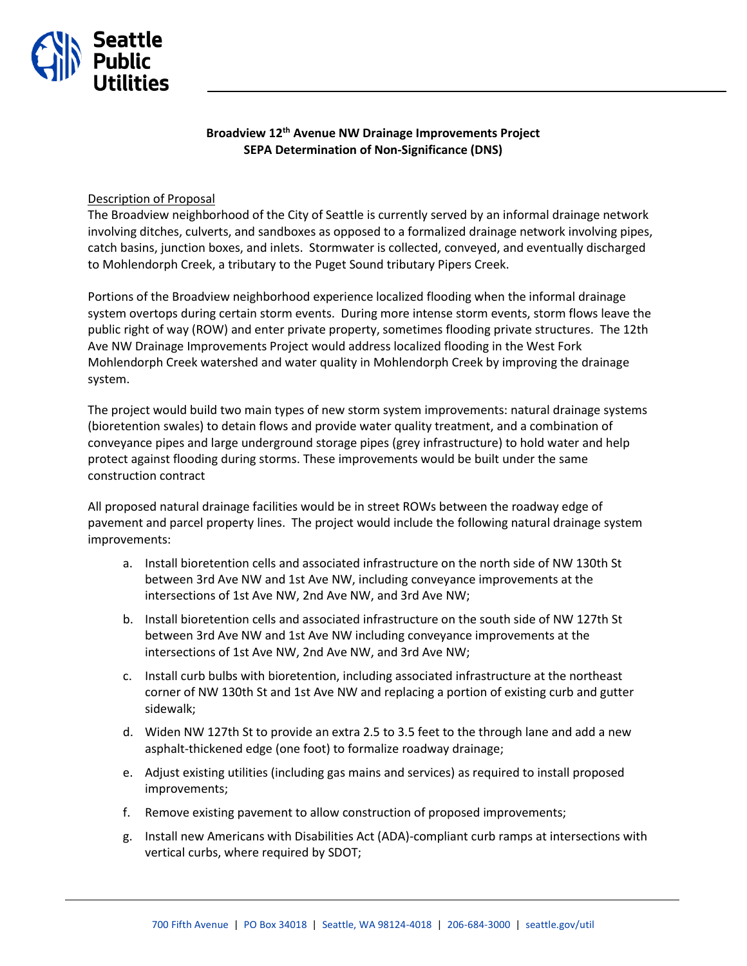

## **Broadview 12th Avenue NW Drainage Improvements Project SEPA Determination of Non-Significance (DNS)**

## Description of Proposal

The Broadview neighborhood of the City of Seattle is currently served by an informal drainage network involving ditches, culverts, and sandboxes as opposed to a formalized drainage network involving pipes, catch basins, junction boxes, and inlets. Stormwater is collected, conveyed, and eventually discharged to Mohlendorph Creek, a tributary to the Puget Sound tributary Pipers Creek.

Portions of the Broadview neighborhood experience localized flooding when the informal drainage system overtops during certain storm events. During more intense storm events, storm flows leave the public right of way (ROW) and enter private property, sometimes flooding private structures. The 12th Ave NW Drainage Improvements Project would address localized flooding in the West Fork Mohlendorph Creek watershed and water quality in Mohlendorph Creek by improving the drainage system.

The project would build two main types of new storm system improvements: natural drainage systems (bioretention swales) to detain flows and provide water quality treatment, and a combination of conveyance pipes and large underground storage pipes (grey infrastructure) to hold water and help protect against flooding during storms. These improvements would be built under the same construction contract

All proposed natural drainage facilities would be in street ROWs between the roadway edge of pavement and parcel property lines. The project would include the following natural drainage system improvements:

- a. Install bioretention cells and associated infrastructure on the north side of NW 130th St between 3rd Ave NW and 1st Ave NW, including conveyance improvements at the intersections of 1st Ave NW, 2nd Ave NW, and 3rd Ave NW;
- b. Install bioretention cells and associated infrastructure on the south side of NW 127th St between 3rd Ave NW and 1st Ave NW including conveyance improvements at the intersections of 1st Ave NW, 2nd Ave NW, and 3rd Ave NW;
- c. Install curb bulbs with bioretention, including associated infrastructure at the northeast corner of NW 130th St and 1st Ave NW and replacing a portion of existing curb and gutter sidewalk;
- d. Widen NW 127th St to provide an extra 2.5 to 3.5 feet to the through lane and add a new asphalt-thickened edge (one foot) to formalize roadway drainage;
- e. Adjust existing utilities (including gas mains and services) as required to install proposed improvements;
- f. Remove existing pavement to allow construction of proposed improvements;
- g. Install new Americans with Disabilities Act (ADA)-compliant curb ramps at intersections with vertical curbs, where required by SDOT;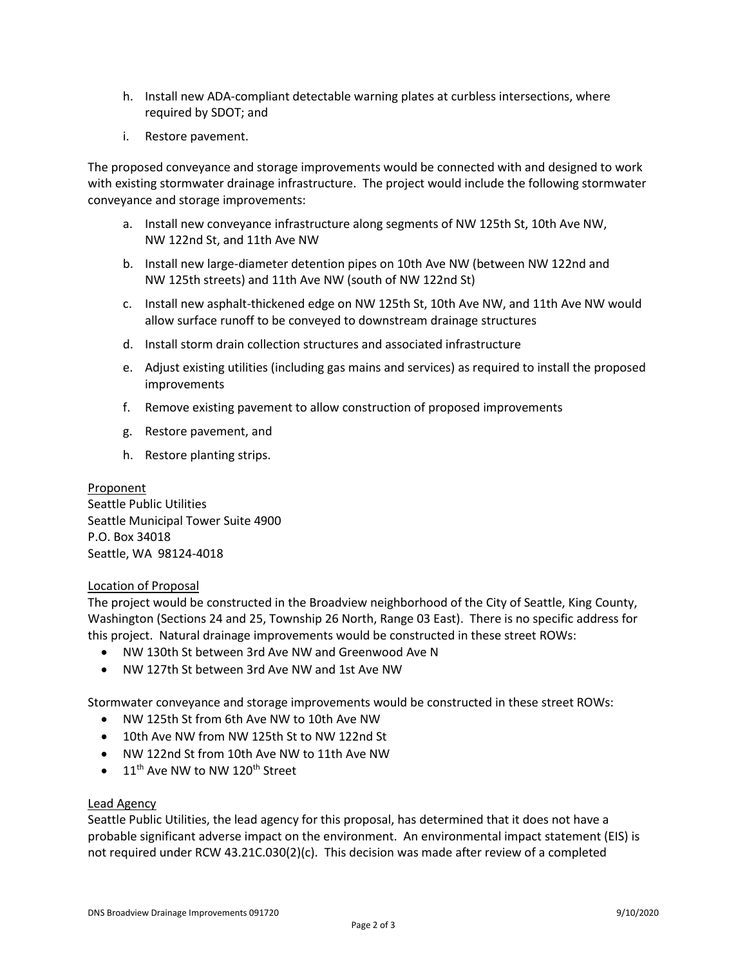- h. Install new ADA-compliant detectable warning plates at curbless intersections, where required by SDOT; and
- i. Restore pavement.

The proposed conveyance and storage improvements would be connected with and designed to work with existing stormwater drainage infrastructure. The project would include the following stormwater conveyance and storage improvements:

- a. Install new conveyance infrastructure along segments of NW 125th St, 10th Ave NW, NW 122nd St, and 11th Ave NW
- b. Install new large-diameter detention pipes on 10th Ave NW (between NW 122nd and NW 125th streets) and 11th Ave NW (south of NW 122nd St)
- c. Install new asphalt-thickened edge on NW 125th St, 10th Ave NW, and 11th Ave NW would allow surface runoff to be conveyed to downstream drainage structures
- d. Install storm drain collection structures and associated infrastructure
- e. Adjust existing utilities (including gas mains and services) as required to install the proposed improvements
- f. Remove existing pavement to allow construction of proposed improvements
- g. Restore pavement, and
- h. Restore planting strips.

Proponent Seattle Public Utilities Seattle Municipal Tower Suite 4900 P.O. Box 34018 Seattle, WA 98124-4018

## Location of Proposal

The project would be constructed in the Broadview neighborhood of the City of Seattle, King County, Washington (Sections 24 and 25, Township 26 North, Range 03 East). There is no specific address for this project. Natural drainage improvements would be constructed in these street ROWs:

- NW 130th St between 3rd Ave NW and Greenwood Ave N
- NW 127th St between 3rd Ave NW and 1st Ave NW

Stormwater conveyance and storage improvements would be constructed in these street ROWs:

- NW 125th St from 6th Ave NW to 10th Ave NW
- 10th Ave NW from NW 125th St to NW 122nd St
- NW 122nd St from 10th Ave NW to 11th Ave NW
- 11<sup>th</sup> Ave NW to NW 120<sup>th</sup> Street

## Lead Agency

Seattle Public Utilities, the lead agency for this proposal, has determined that it does not have a probable significant adverse impact on the environment. An environmental impact statement (EIS) is not required under RCW 43.21C.030(2)(c). This decision was made after review of a completed